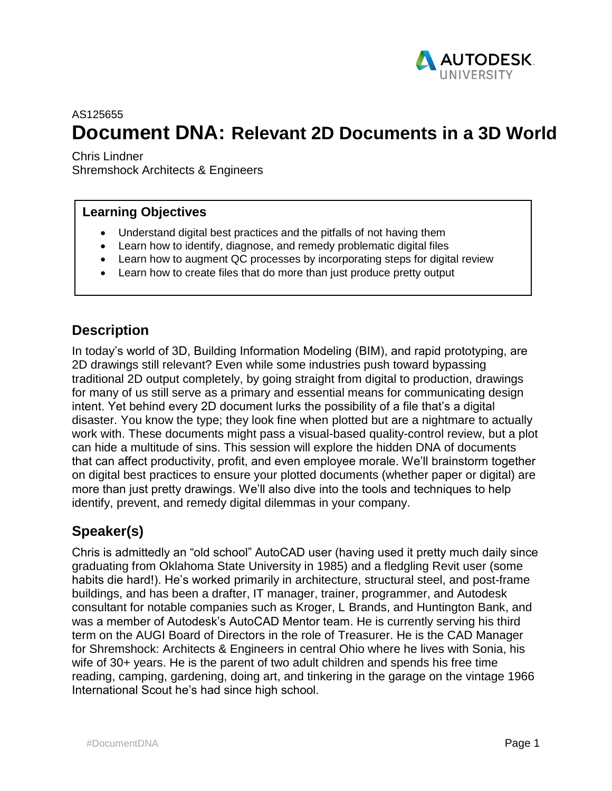

# AS125655 **Document DNA: Relevant 2D Documents in a 3D World**

Chris Lindner

Shremshock Architects & Engineers

#### **Learning Objectives**

- Understand digital best practices and the pitfalls of not having them
- Learn how to identify, diagnose, and remedy problematic digital files
- Learn how to augment QC processes by incorporating steps for digital review
- Learn how to create files that do more than just produce pretty output

## **Description**

In today's world of 3D, Building Information Modeling (BIM), and rapid prototyping, are 2D drawings still relevant? Even while some industries push toward bypassing traditional 2D output completely, by going straight from digital to production, drawings for many of us still serve as a primary and essential means for communicating design intent. Yet behind every 2D document lurks the possibility of a file that's a digital disaster. You know the type; they look fine when plotted but are a nightmare to actually work with. These documents might pass a visual-based quality-control review, but a plot can hide a multitude of sins. This session will explore the hidden DNA of documents that can affect productivity, profit, and even employee morale. We'll brainstorm together on digital best practices to ensure your plotted documents (whether paper or digital) are more than just pretty drawings. We'll also dive into the tools and techniques to help identify, prevent, and remedy digital dilemmas in your company.

## **Speaker(s)**

Chris is admittedly an "old school" AutoCAD user (having used it pretty much daily since graduating from Oklahoma State University in 1985) and a fledgling Revit user (some habits die hard!). He's worked primarily in architecture, structural steel, and post-frame buildings, and has been a drafter, IT manager, trainer, programmer, and Autodesk consultant for notable companies such as Kroger, L Brands, and Huntington Bank, and was a member of Autodesk's AutoCAD Mentor team. He is currently serving his third term on the AUGI Board of Directors in the role of Treasurer. He is the CAD Manager for Shremshock: Architects & Engineers in central Ohio where he lives with Sonia, his wife of 30+ years. He is the parent of two adult children and spends his free time reading, camping, gardening, doing art, and tinkering in the garage on the vintage 1966 International Scout he's had since high school.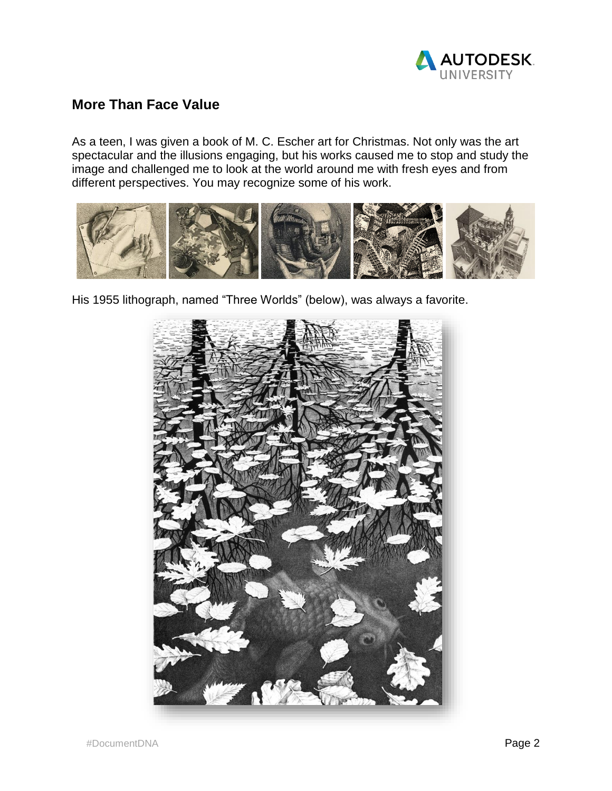

### **More Than Face Value**

As a teen, I was given a book of M. C. Escher art for Christmas. Not only was the art spectacular and the illusions engaging, but his works caused me to stop and study the image and challenged me to look at the world around me with fresh eyes and from different perspectives. You may recognize some of his work.



His 1955 lithograph, named "Three Worlds" (below), was always a favorite.

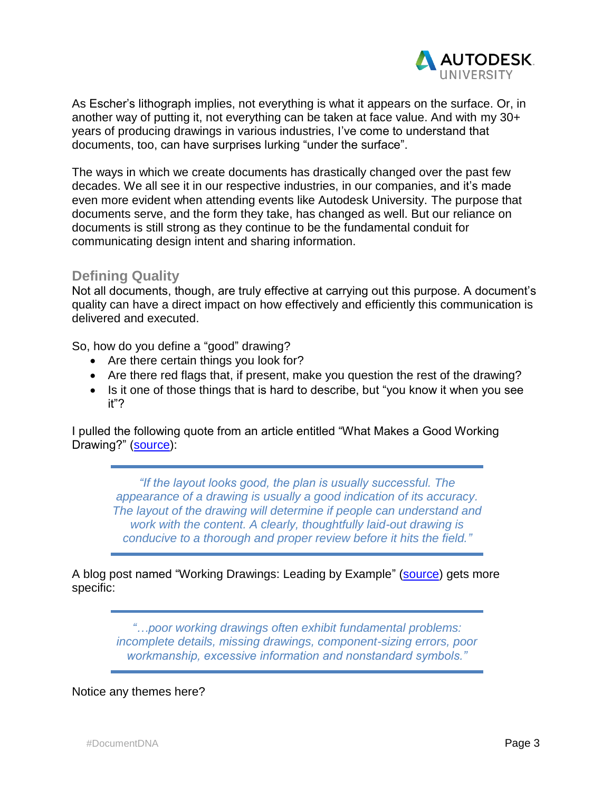

As Escher's lithograph implies, not everything is what it appears on the surface. Or, in another way of putting it, not everything can be taken at face value. And with my 30+ years of producing drawings in various industries, I've come to understand that documents, too, can have surprises lurking "under the surface".

The ways in which we create documents has drastically changed over the past few decades. We all see it in our respective industries, in our companies, and it's made even more evident when attending events like Autodesk University. The purpose that documents serve, and the form they take, has changed as well. But our reliance on documents is still strong as they continue to be the fundamental conduit for communicating design intent and sharing information.

#### **Defining Quality**

Not all documents, though, are truly effective at carrying out this purpose. A document's quality can have a direct impact on how effectively and efficiently this communication is delivered and executed.

So, how do you define a "good" drawing?

- Are there certain things you look for?
- Are there red flags that, if present, make you question the rest of the drawing?
- Is it one of those things that is hard to describe, but "you know it when you see it"?

I pulled the following quote from an article entitled "What Makes a Good Working Drawing?" [\(source\)](http://www.ecmweb.com/content/what-makes-good-working-drawing):

*"If the layout looks good, the plan is usually successful. The appearance of a drawing is usually a good indication of its accuracy. The layout of the drawing will determine if people can understand and work with the content. A clearly, thoughtfully laid-out drawing is conducive to a thorough and proper review before it hits the field."*

A blog post named "Working Drawings: Leading by Example" [\(source\)](http://lovornengineering.com/Working_Drawings..html) gets more specific:

> *"…poor working drawings often exhibit fundamental problems: incomplete details, missing drawings, component-sizing errors, poor workmanship, excessive information and nonstandard symbols."*

#### Notice any themes here?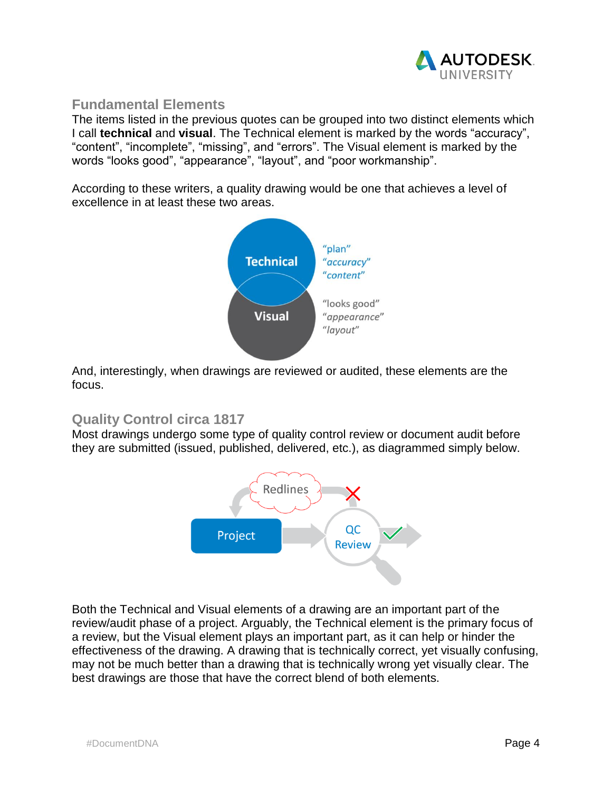

### **Fundamental Elements**

The items listed in the previous quotes can be grouped into two distinct elements which I call **technical** and **visual**. The Technical element is marked by the words "accuracy", "content", "incomplete", "missing", and "errors". The Visual element is marked by the words "looks good", "appearance", "layout", and "poor workmanship".

According to these writers, a quality drawing would be one that achieves a level of excellence in at least these two areas.



And, interestingly, when drawings are reviewed or audited, these elements are the focus.

## **Quality Control circa 1817**

Most drawings undergo some type of quality control review or document audit before they are submitted (issued, published, delivered, etc.), as diagrammed simply below.



Both the Technical and Visual elements of a drawing are an important part of the review/audit phase of a project. Arguably, the Technical element is the primary focus of a review, but the Visual element plays an important part, as it can help or hinder the effectiveness of the drawing. A drawing that is technically correct, yet visually confusing, may not be much better than a drawing that is technically wrong yet visually clear. The best drawings are those that have the correct blend of both elements.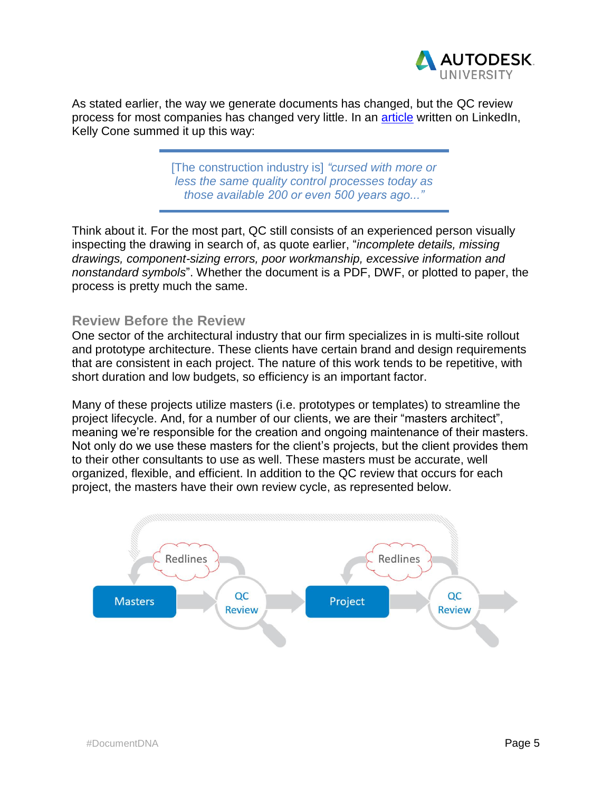

As stated earlier, the way we generate documents has changed, but the QC review process for most companies has changed very little. In an [article](https://www.linkedin.com/pulse/confirmation-bias-its-effect-quality-kelly-cone) written on LinkedIn, Kelly Cone summed it up this way:

> [The construction industry is] *"cursed with more or less the same quality control processes today as those available 200 or even 500 years ago..."*

Think about it. For the most part, QC still consists of an experienced person visually inspecting the drawing in search of, as quote earlier, "*incomplete details, missing drawings, component-sizing errors, poor workmanship, excessive information and nonstandard symbols*". Whether the document is a PDF, DWF, or plotted to paper, the process is pretty much the same.

#### **Review Before the Review**

One sector of the architectural industry that our firm specializes in is multi-site rollout and prototype architecture. These clients have certain brand and design requirements that are consistent in each project. The nature of this work tends to be repetitive, with short duration and low budgets, so efficiency is an important factor.

Many of these projects utilize masters (i.e. prototypes or templates) to streamline the project lifecycle. And, for a number of our clients, we are their "masters architect", meaning we're responsible for the creation and ongoing maintenance of their masters. Not only do we use these masters for the client's projects, but the client provides them to their other consultants to use as well. These masters must be accurate, well organized, flexible, and efficient. In addition to the QC review that occurs for each project, the masters have their own review cycle, as represented below.

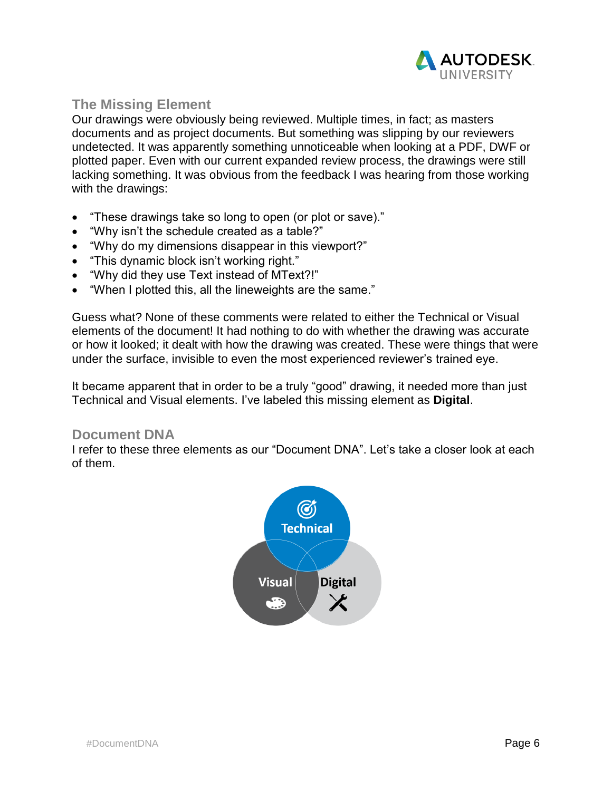

## **The Missing Element**

Our drawings were obviously being reviewed. Multiple times, in fact; as masters documents and as project documents. But something was slipping by our reviewers undetected. It was apparently something unnoticeable when looking at a PDF, DWF or plotted paper. Even with our current expanded review process, the drawings were still lacking something. It was obvious from the feedback I was hearing from those working with the drawings:

- "These drawings take so long to open (or plot or save)."
- "Why isn't the schedule created as a table?"
- "Why do my dimensions disappear in this viewport?"
- "This dynamic block isn't working right."
- "Why did they use Text instead of MText?!"
- "When I plotted this, all the lineweights are the same."

Guess what? None of these comments were related to either the Technical or Visual elements of the document! It had nothing to do with whether the drawing was accurate or how it looked; it dealt with how the drawing was created. These were things that were under the surface, invisible to even the most experienced reviewer's trained eye.

It became apparent that in order to be a truly "good" drawing, it needed more than just Technical and Visual elements. I've labeled this missing element as **Digital**.

#### **Document DNA**

I refer to these three elements as our "Document DNA". Let's take a closer look at each of them.

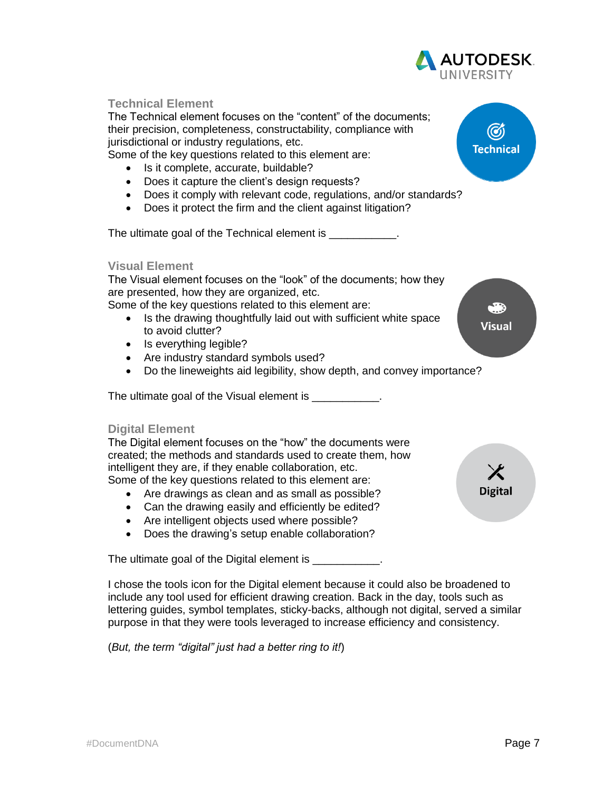

I chose the tools icon for the Digital element because it could also be broadened to include any tool used for efficient drawing creation. Back in the day, tools such as lettering guides, symbol templates, sticky-backs, although not digital, served a similar purpose in that they were tools leveraged to increase efficiency and consistency.

(*But, the term "digital" just had a better ring to it!*)

**AUTODESK.**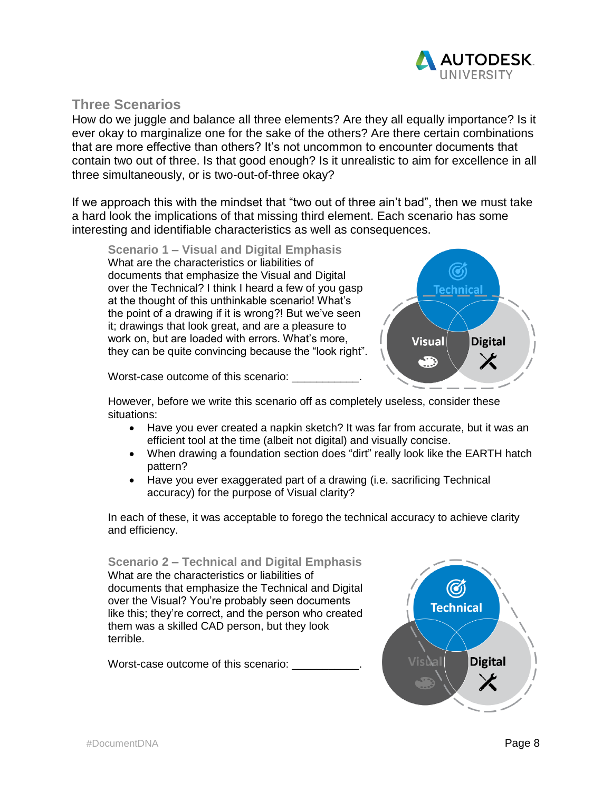

#### **Three Scenarios**

How do we juggle and balance all three elements? Are they all equally importance? Is it ever okay to marginalize one for the sake of the others? Are there certain combinations that are more effective than others? It's not uncommon to encounter documents that contain two out of three. Is that good enough? Is it unrealistic to aim for excellence in all three simultaneously, or is two-out-of-three okay?

If we approach this with the mindset that "two out of three ain't bad", then we must take a hard look the implications of that missing third element. Each scenario has some interesting and identifiable characteristics as well as consequences.

**Scenario 1 – Visual and Digital Emphasis** What are the characteristics or liabilities of documents that emphasize the Visual and Digital over the Technical? I think I heard a few of you gasp at the thought of this unthinkable scenario! What's the point of a drawing if it is wrong?! But we've seen it; drawings that look great, and are a pleasure to work on, but are loaded with errors. What's more, they can be quite convincing because the "look right".



Worst-case outcome of this scenario:

However, before we write this scenario off as completely useless, consider these situations:

- Have you ever created a napkin sketch? It was far from accurate, but it was an efficient tool at the time (albeit not digital) and visually concise.
- When drawing a foundation section does "dirt" really look like the EARTH hatch pattern?
- Have you ever exaggerated part of a drawing (i.e. sacrificing Technical accuracy) for the purpose of Visual clarity?

In each of these, it was acceptable to forego the technical accuracy to achieve clarity and efficiency.

**Scenario 2 – Technical and Digital Emphasis** What are the characteristics or liabilities of documents that emphasize the Technical and Digital over the Visual? You're probably seen documents like this; they're correct, and the person who created them was a skilled CAD person, but they look terrible.

Worst-case outcome of this scenario:

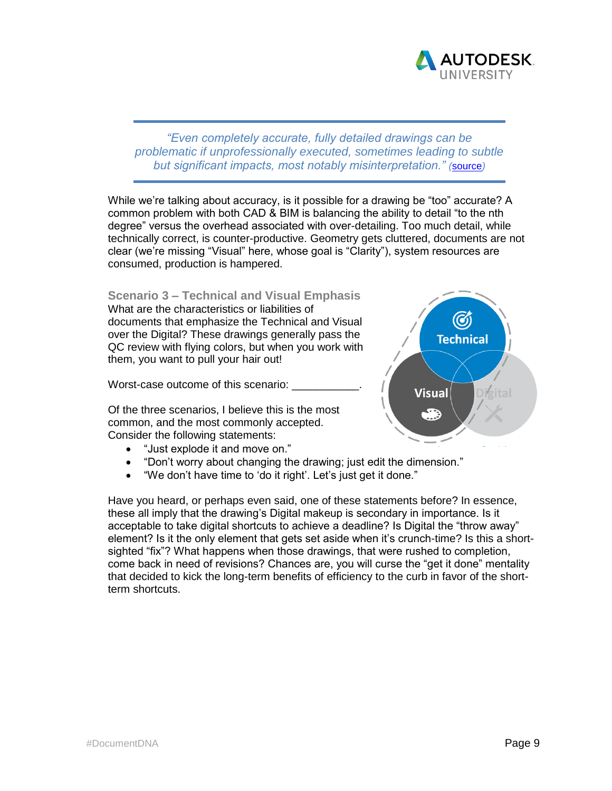

*"Even completely accurate, fully detailed drawings can be problematic if unprofessionally executed, sometimes leading to subtle but significant impacts, most notably misinterpretation." (*[source](http://lovornengineering.com/Working_Drawings..html)*)*

While we're talking about accuracy, is it possible for a drawing be "too" accurate? A common problem with both CAD & BIM is balancing the ability to detail "to the nth degree" versus the overhead associated with over-detailing. Too much detail, while technically correct, is counter-productive. Geometry gets cluttered, documents are not clear (we're missing "Visual" here, whose goal is "Clarity"), system resources are consumed, production is hampered.

**Scenario 3 – Technical and Visual Emphasis**

What are the characteristics or liabilities of documents that emphasize the Technical and Visual over the Digital? These drawings generally pass the QC review with flying colors, but when you work with them, you want to pull your hair out!

Worst-case outcome of this scenario:

Of the three scenarios, I believe this is the most common, and the most commonly accepted. Consider the following statements:

- "Just explode it and move on."
- "Don't worry about changing the drawing; just edit the dimension."
- "We don't have time to 'do it right'. Let's just get it done."

Have you heard, or perhaps even said, one of these statements before? In essence, these all imply that the drawing's Digital makeup is secondary in importance. Is it acceptable to take digital shortcuts to achieve a deadline? Is Digital the "throw away" element? Is it the only element that gets set aside when it's crunch-time? Is this a shortsighted "fix"? What happens when those drawings, that were rushed to completion, come back in need of revisions? Chances are, you will curse the "get it done" mentality that decided to kick the long-term benefits of efficiency to the curb in favor of the shortterm shortcuts.

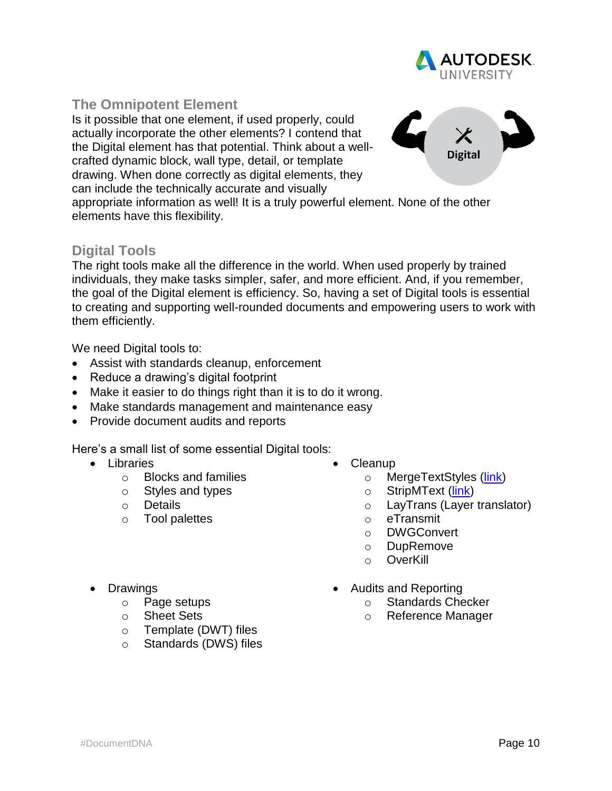

## **The Omnipotent Element**

Is it possible that one element, if used properly, could actually incorporate the other elements? I contend that the Digital element has that potential. Think about a wellcrafted dynamic block, wall type, detail, or template drawing. When done correctly as digital elements, they can include the technically accurate and visually



appropriate information as well! It is a truly powerful element. None of the other elements have this flexibility.

## **Digital Tools**

The right tools make all the difference in the world. When used properly by trained individuals, they make tasks simpler, safer, and more efficient. And, if you remember, the goal of the Digital element is efficiency. So, having a set of Digital tools is essential to creating and supporting well-rounded documents and empowering users to work with them efficiently.

We need Digital tools to:

- Assist with standards cleanup, enforcement
- Reduce a drawing's digital footprint
- Make it easier to do things right than it is to do it wrong.
- Make standards management and maintenance easy
- Provide document audits and reports

Here's a small list of some essential Digital tools:

- Libraries
	- o Blocks and families
	- o Styles and types
	- o Details
	- o Tool palettes
- Cleanup
	- o MergeTextStyles [\(link\)](http://www.theswamp.org/index.php?topic=17659.0;all)
	- o StripMText [\(link\)](https://knowledge.autodesk.com/support/autocad/troubleshooting/caas/sfdcarticles/sfdcarticles/Text-in-Mtext-do-not-follow-the-text-style-s-font-change.html)
	- o LayTrans (Layer translator)
	- o eTransmit
	- o DWGConvert
	- o DupRemove
	- o OverKill

- Drawings
	- o Page setups
	- o Sheet Sets
	- o Template (DWT) files
	- o Standards (DWS) files
- Audits and Reporting
	- o Standards Checker
	- o Reference Manager